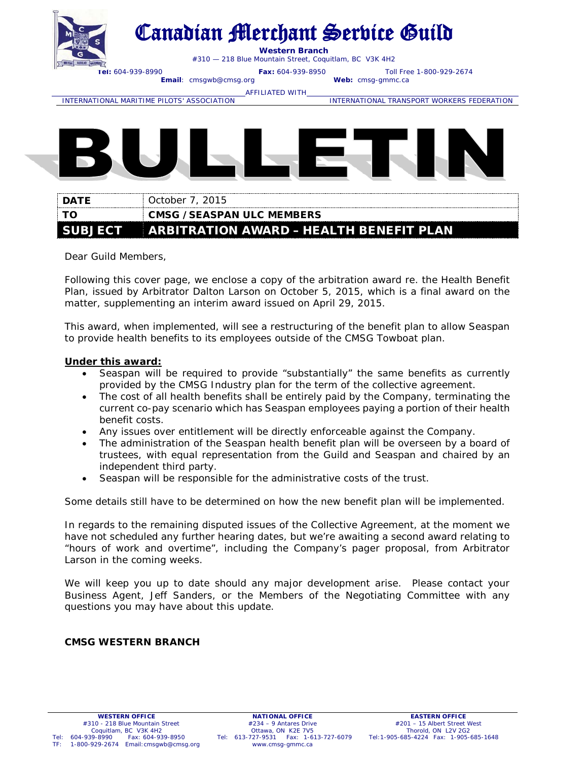

# Canadian Merchant Service Guild

**Western Branch**

#310 — 218 Blue Mountain Street, Coquitlam, BC V3K 4H2

**Tel:** 604-939-8990 **Fax:** 604-939-8950 Toll Free 1-800-929-2674

**Email:** cmsgwb@cmsg.org

AFFILIATED WITH\_<br>INTERNATIONAL MARITIME PILOTS' ASSOCIATION

INTERNATIONAL TRANSPORT WORKERS FEDERATION



| <b>DATE</b> | 0ctober 7, 2015 :                               |
|-------------|-------------------------------------------------|
| ⊧ то        | <b>CMSG / SEASPAN ULC MEMBERS</b>               |
|             | SUBJECT ARBITRATION AWARD - HEALTH BENEFIT PLAN |

Dear Guild Members,

Following this cover page, we enclose a copy of the arbitration award re. the Health Benefit Plan, issued by Arbitrator Dalton Larson on October 5, 2015, which is a final award on the matter, supplementing an interim award issued on April 29, 2015.

This award, when implemented, will see a restructuring of the benefit plan to allow Seaspan to provide health benefits to its employees outside of the CMSG Towboat plan.

# **Under this award:**

- Seaspan will be required to provide "substantially" the same benefits as currently provided by the CMSG Industry plan for the term of the collective agreement.
- The cost of all health benefits shall be entirely paid by the Company, terminating the current co-pay scenario which has Seaspan employees paying a portion of their health benefit costs.
- Any issues over entitlement will be directly enforceable against the Company.
- The administration of the Seaspan health benefit plan will be overseen by a board of trustees, with equal representation from the Guild and Seaspan and chaired by an independent third party.
- Seaspan will be responsible for the administrative costs of the trust.

Some details still have to be determined on how the new benefit plan will be implemented.

In regards to the remaining disputed issues of the Collective Agreement, at the moment we have not scheduled any further hearing dates, but we're awaiting a second award relating to "hours of work and overtime", including the Company's pager proposal, from Arbitrator Larson in the coming weeks.

We will keep you up to date should any major development arise. Please contact your Business Agent, Jeff Sanders, or the Members of the Negotiating Committee with any questions you may have about this update.

# **CMSG WESTERN BRANCH**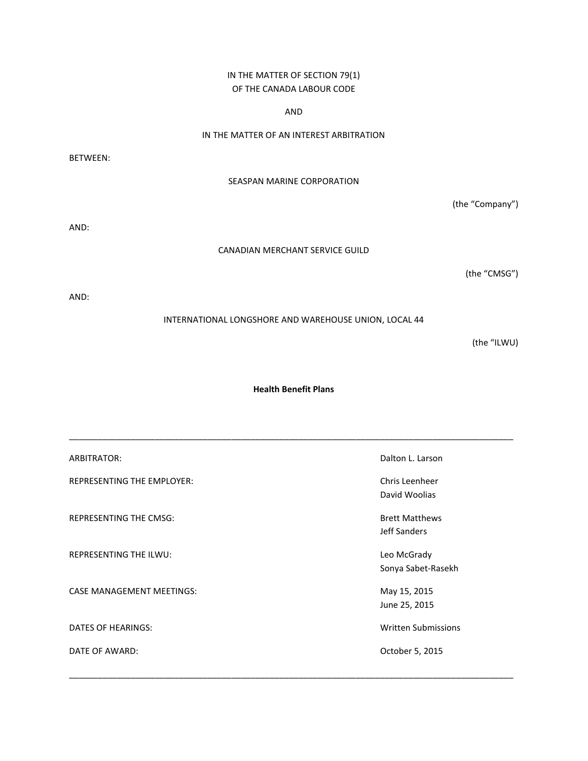# IN THE MATTER OF SECTION 79(1) OF THE CANADA LABOUR CODE

AND

## IN THE MATTER OF AN INTEREST ARBITRATION

BETWEEN:

## SEASPAN MARINE CORPORATION

(the "Company")

AND:

#### CANADIAN MERCHANT SERVICE GUILD

(the "CMSG")

AND:

## INTERNATIONAL LONGSHORE AND WAREHOUSE UNION, LOCAL 44

(the "ILWU)

#### **Health Benefit Plans**

| ARBITRATOR:                       | Dalton L. Larson                      |
|-----------------------------------|---------------------------------------|
| <b>REPRESENTING THE EMPLOYER:</b> | Chris Leenheer<br>David Woolias       |
| <b>REPRESENTING THE CMSG:</b>     | <b>Brett Matthews</b><br>Jeff Sanders |
| <b>REPRESENTING THE ILWU:</b>     | Leo McGrady<br>Sonya Sabet-Rasekh     |
| <b>CASE MANAGEMENT MEETINGS:</b>  | May 15, 2015<br>June 25, 2015         |
| DATES OF HEARINGS:                | <b>Written Submissions</b>            |
| DATE OF AWARD:                    | October 5, 2015                       |

\_\_\_\_\_\_\_\_\_\_\_\_\_\_\_\_\_\_\_\_\_\_\_\_\_\_\_\_\_\_\_\_\_\_\_\_\_\_\_\_\_\_\_\_\_\_\_\_\_\_\_\_\_\_\_\_\_\_\_\_\_\_\_\_\_\_\_\_\_\_\_\_\_\_\_\_\_\_\_\_\_\_\_\_\_\_\_\_\_\_\_\_\_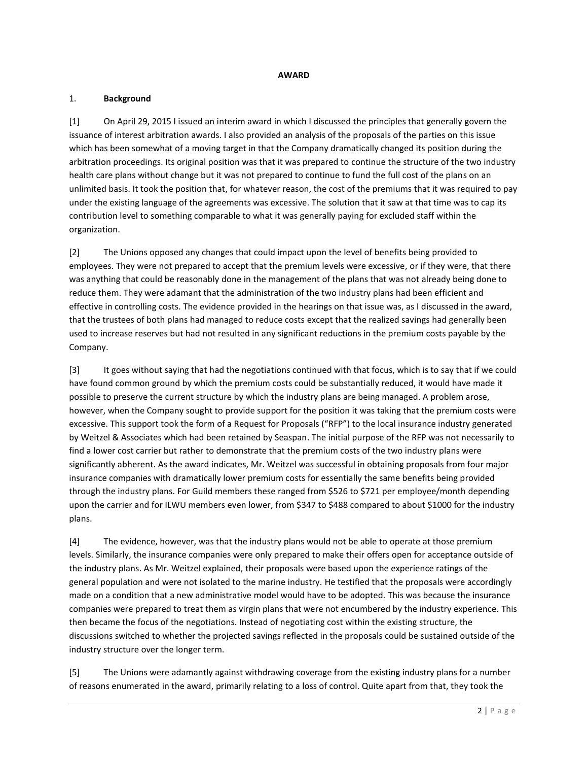#### **AWARD**

## 1. **Background**

[1] On April 29, 2015 I issued an interim award in which I discussed the principles that generally govern the issuance of interest arbitration awards. I also provided an analysis of the proposals of the parties on this issue which has been somewhat of a moving target in that the Company dramatically changed its position during the arbitration proceedings. Its original position was that it was prepared to continue the structure of the two industry health care plans without change but it was not prepared to continue to fund the full cost of the plans on an unlimited basis. It took the position that, for whatever reason, the cost of the premiums that it was required to pay under the existing language of the agreements was excessive. The solution that it saw at that time was to cap its contribution level to something comparable to what it was generally paying for excluded staff within the organization.

[2] The Unions opposed any changes that could impact upon the level of benefits being provided to employees. They were not prepared to accept that the premium levels were excessive, or if they were, that there was anything that could be reasonably done in the management of the plans that was not already being done to reduce them. They were adamant that the administration of the two industry plans had been efficient and effective in controlling costs. The evidence provided in the hearings on that issue was, as I discussed in the award, that the trustees of both plans had managed to reduce costs except that the realized savings had generally been used to increase reserves but had not resulted in any significant reductions in the premium costs payable by the Company.

[3] It goes without saying that had the negotiations continued with that focus, which is to say that if we could have found common ground by which the premium costs could be substantially reduced, it would have made it possible to preserve the current structure by which the industry plans are being managed. A problem arose, however, when the Company sought to provide support for the position it was taking that the premium costs were excessive. This support took the form of a Request for Proposals ("RFP") to the local insurance industry generated by Weitzel & Associates which had been retained by Seaspan. The initial purpose of the RFP was not necessarily to find a lower cost carrier but rather to demonstrate that the premium costs of the two industry plans were significantly abherent. As the award indicates, Mr. Weitzel was successful in obtaining proposals from four major insurance companies with dramatically lower premium costs for essentially the same benefits being provided through the industry plans. For Guild members these ranged from \$526 to \$721 per employee/month depending upon the carrier and for ILWU members even lower, from \$347 to \$488 compared to about \$1000 for the industry plans.

[4] The evidence, however, was that the industry plans would not be able to operate at those premium levels. Similarly, the insurance companies were only prepared to make their offers open for acceptance outside of the industry plans. As Mr. Weitzel explained, their proposals were based upon the experience ratings of the general population and were not isolated to the marine industry. He testified that the proposals were accordingly made on a condition that a new administrative model would have to be adopted. This was because the insurance companies were prepared to treat them as virgin plans that were not encumbered by the industry experience. This then became the focus of the negotiations. Instead of negotiating cost within the existing structure, the discussions switched to whether the projected savings reflected in the proposals could be sustained outside of the industry structure over the longer term.

[5] The Unions were adamantly against withdrawing coverage from the existing industry plans for a number of reasons enumerated in the award, primarily relating to a loss of control. Quite apart from that, they took the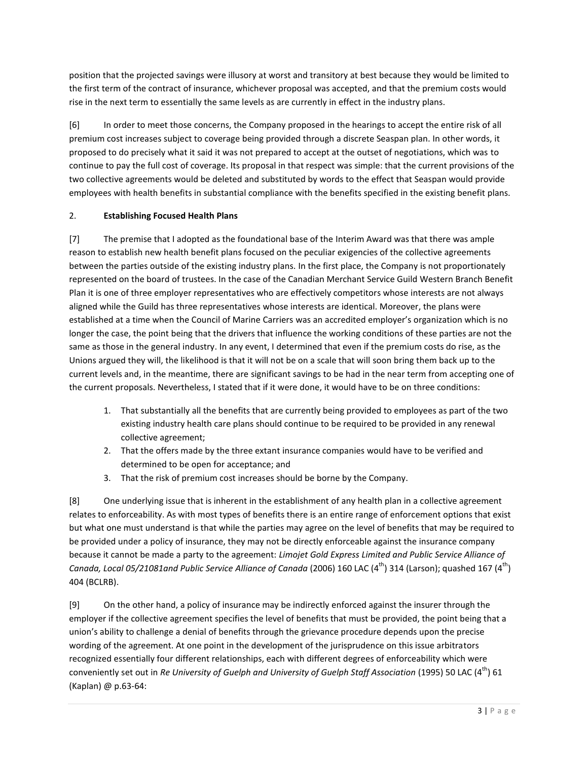position that the projected savings were illusory at worst and transitory at best because they would be limited to the first term of the contract of insurance, whichever proposal was accepted, and that the premium costs would rise in the next term to essentially the same levels as are currently in effect in the industry plans.

[6] In order to meet those concerns, the Company proposed in the hearings to accept the entire risk of all premium cost increases subject to coverage being provided through a discrete Seaspan plan. In other words, it proposed to do precisely what it said it was not prepared to accept at the outset of negotiations, which was to continue to pay the full cost of coverage. Its proposal in that respect was simple: that the current provisions of the two collective agreements would be deleted and substituted by words to the effect that Seaspan would provide employees with health benefits in substantial compliance with the benefits specified in the existing benefit plans.

## 2. **Establishing Focused Health Plans**

[7] The premise that I adopted as the foundational base of the Interim Award was that there was ample reason to establish new health benefit plans focused on the peculiar exigencies of the collective agreements between the parties outside of the existing industry plans. In the first place, the Company is not proportionately represented on the board of trustees. In the case of the Canadian Merchant Service Guild Western Branch Benefit Plan it is one of three employer representatives who are effectively competitors whose interests are not always aligned while the Guild has three representatives whose interests are identical. Moreover, the plans were established at a time when the Council of Marine Carriers was an accredited employer's organization which is no longer the case, the point being that the drivers that influence the working conditions of these parties are not the same as those in the general industry. In any event, I determined that even if the premium costs do rise, as the Unions argued they will, the likelihood is that it will not be on a scale that will soon bring them back up to the current levels and, in the meantime, there are significant savings to be had in the near term from accepting one of the current proposals. Nevertheless, I stated that if it were done, it would have to be on three conditions:

- 1. That substantially all the benefits that are currently being provided to employees as part of the two existing industry health care plans should continue to be required to be provided in any renewal collective agreement;
- 2. That the offers made by the three extant insurance companies would have to be verified and determined to be open for acceptance; and
- 3. That the risk of premium cost increases should be borne by the Company.

[8] One underlying issue that is inherent in the establishment of any health plan in a collective agreement relates to enforceability. As with most types of benefits there is an entire range of enforcement options that exist but what one must understand is that while the parties may agree on the level of benefits that may be required to be provided under a policy of insurance, they may not be directly enforceable against the insurance company because it cannot be made a party to the agreement: *Limojet Gold Express Limited and Public Service Alliance of Canada, Local 05/21081and Public Service Alliance of Canada* (2006) 160 LAC (4<sup>th</sup>) 314 (Larson); quashed 167 (4<sup>th</sup>) 404 (BCLRB).

[9] On the other hand, a policy of insurance may be indirectly enforced against the insurer through the employer if the collective agreement specifies the level of benefits that must be provided, the point being that a union's ability to challenge a denial of benefits through the grievance procedure depends upon the precise wording of the agreement. At one point in the development of the jurisprudence on this issue arbitrators recognized essentially four different relationships, each with different degrees of enforceability which were conveniently set out in *Re University of Guelph and University of Guelph Staff Association* (1995) 50 LAC (4<sup>th</sup>) 61 (Kaplan) @ p.63-64: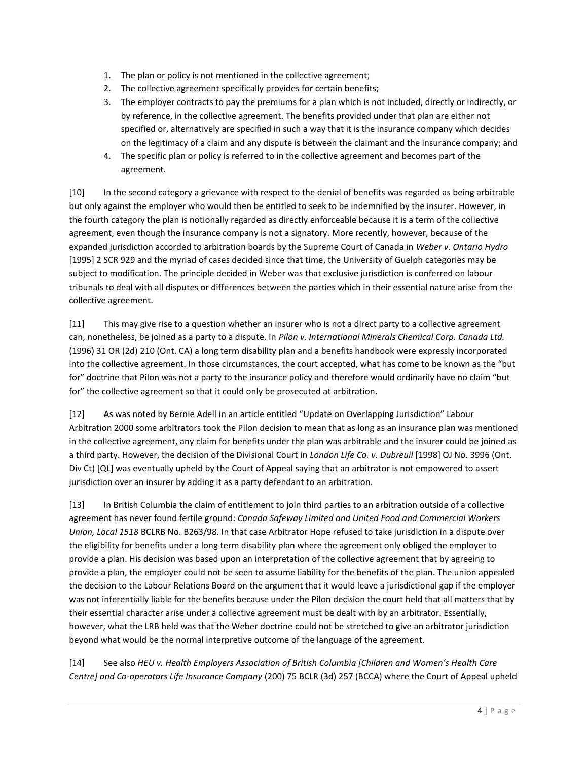- 1. The plan or policy is not mentioned in the collective agreement;
- 2. The collective agreement specifically provides for certain benefits;
- 3. The employer contracts to pay the premiums for a plan which is not included, directly or indirectly, or by reference, in the collective agreement. The benefits provided under that plan are either not specified or, alternatively are specified in such a way that it is the insurance company which decides on the legitimacy of a claim and any dispute is between the claimant and the insurance company; and
- 4. The specific plan or policy is referred to in the collective agreement and becomes part of the agreement.

[10] In the second category a grievance with respect to the denial of benefits was regarded as being arbitrable but only against the employer who would then be entitled to seek to be indemnified by the insurer. However, in the fourth category the plan is notionally regarded as directly enforceable because it is a term of the collective agreement, even though the insurance company is not a signatory. More recently, however, because of the expanded jurisdiction accorded to arbitration boards by the Supreme Court of Canada in *Weber v. Ontario Hydro* [1995] 2 SCR 929 and the myriad of cases decided since that time, the University of Guelph categories may be subject to modification. The principle decided in Weber was that exclusive jurisdiction is conferred on labour tribunals to deal with all disputes or differences between the parties which in their essential nature arise from the collective agreement.

[11] This may give rise to a question whether an insurer who is not a direct party to a collective agreement can, nonetheless, be joined as a party to a dispute. In *Pilon v. International Minerals Chemical Corp. Canada Ltd.* (1996) 31 OR (2d) 210 (Ont. CA) a long term disability plan and a benefits handbook were expressly incorporated into the collective agreement. In those circumstances, the court accepted, what has come to be known as the "but for" doctrine that Pilon was not a party to the insurance policy and therefore would ordinarily have no claim "but for" the collective agreement so that it could only be prosecuted at arbitration.

[12] As was noted by Bernie Adell in an article entitled "Update on Overlapping Jurisdiction" Labour Arbitration 2000 some arbitrators took the Pilon decision to mean that as long as an insurance plan was mentioned in the collective agreement, any claim for benefits under the plan was arbitrable and the insurer could be joined as a third party. However, the decision of the Divisional Court in *London Life Co. v. Dubreuil* [1998] OJ No. 3996 (Ont. Div Ct) [QL] was eventually upheld by the Court of Appeal saying that an arbitrator is not empowered to assert jurisdiction over an insurer by adding it as a party defendant to an arbitration.

[13] In British Columbia the claim of entitlement to join third parties to an arbitration outside of a collective agreement has never found fertile ground: *Canada Safeway Limited and United Food and Commercial Workers Union, Local 1518* BCLRB No. B263/98. In that case Arbitrator Hope refused to take jurisdiction in a dispute over the eligibility for benefits under a long term disability plan where the agreement only obliged the employer to provide a plan. His decision was based upon an interpretation of the collective agreement that by agreeing to provide a plan, the employer could not be seen to assume liability for the benefits of the plan. The union appealed the decision to the Labour Relations Board on the argument that it would leave a jurisdictional gap if the employer was not inferentially liable for the benefits because under the Pilon decision the court held that all matters that by their essential character arise under a collective agreement must be dealt with by an arbitrator. Essentially, however, what the LRB held was that the Weber doctrine could not be stretched to give an arbitrator jurisdiction beyond what would be the normal interpretive outcome of the language of the agreement.

[14] See also *HEU v. Health Employers Association of British Columbia [Children and Women's Health Care Centre] and Co-operators Life Insurance Company* (200) 75 BCLR (3d) 257 (BCCA) where the Court of Appeal upheld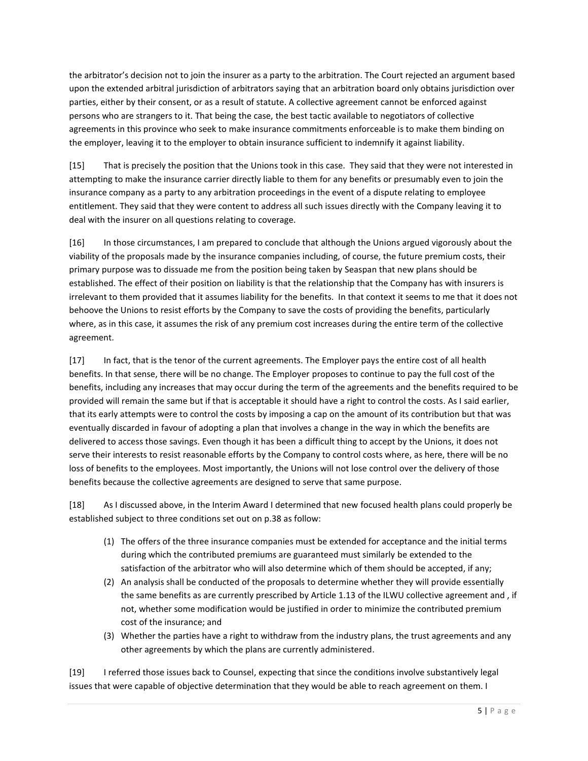the arbitrator's decision not to join the insurer as a party to the arbitration. The Court rejected an argument based upon the extended arbitral jurisdiction of arbitrators saying that an arbitration board only obtains jurisdiction over parties, either by their consent, or as a result of statute. A collective agreement cannot be enforced against persons who are strangers to it. That being the case, the best tactic available to negotiators of collective agreements in this province who seek to make insurance commitments enforceable is to make them binding on the employer, leaving it to the employer to obtain insurance sufficient to indemnify it against liability.

[15] That is precisely the position that the Unions took in this case. They said that they were not interested in attempting to make the insurance carrier directly liable to them for any benefits or presumably even to join the insurance company as a party to any arbitration proceedings in the event of a dispute relating to employee entitlement. They said that they were content to address all such issues directly with the Company leaving it to deal with the insurer on all questions relating to coverage.

[16] In those circumstances, I am prepared to conclude that although the Unions argued vigorously about the viability of the proposals made by the insurance companies including, of course, the future premium costs, their primary purpose was to dissuade me from the position being taken by Seaspan that new plans should be established. The effect of their position on liability is that the relationship that the Company has with insurers is irrelevant to them provided that it assumes liability for the benefits. In that context it seems to me that it does not behoove the Unions to resist efforts by the Company to save the costs of providing the benefits, particularly where, as in this case, it assumes the risk of any premium cost increases during the entire term of the collective agreement.

[17] In fact, that is the tenor of the current agreements. The Employer pays the entire cost of all health benefits. In that sense, there will be no change. The Employer proposes to continue to pay the full cost of the benefits, including any increases that may occur during the term of the agreements and the benefits required to be provided will remain the same but if that is acceptable it should have a right to control the costs. As I said earlier, that its early attempts were to control the costs by imposing a cap on the amount of its contribution but that was eventually discarded in favour of adopting a plan that involves a change in the way in which the benefits are delivered to access those savings. Even though it has been a difficult thing to accept by the Unions, it does not serve their interests to resist reasonable efforts by the Company to control costs where, as here, there will be no loss of benefits to the employees. Most importantly, the Unions will not lose control over the delivery of those benefits because the collective agreements are designed to serve that same purpose.

[18] As I discussed above, in the Interim Award I determined that new focused health plans could properly be established subject to three conditions set out on p.38 as follow:

- (1) The offers of the three insurance companies must be extended for acceptance and the initial terms during which the contributed premiums are guaranteed must similarly be extended to the satisfaction of the arbitrator who will also determine which of them should be accepted, if any;
- (2) An analysis shall be conducted of the proposals to determine whether they will provide essentially the same benefits as are currently prescribed by Article 1.13 of the ILWU collective agreement and , if not, whether some modification would be justified in order to minimize the contributed premium cost of the insurance; and
- (3) Whether the parties have a right to withdraw from the industry plans, the trust agreements and any other agreements by which the plans are currently administered.

[19] I referred those issues back to Counsel, expecting that since the conditions involve substantively legal issues that were capable of objective determination that they would be able to reach agreement on them. I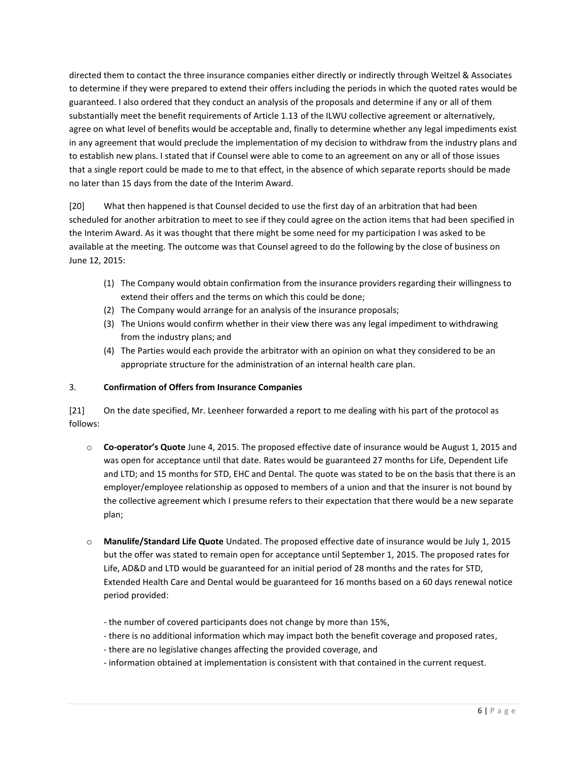directed them to contact the three insurance companies either directly or indirectly through Weitzel & Associates to determine if they were prepared to extend their offers including the periods in which the quoted rates would be guaranteed. I also ordered that they conduct an analysis of the proposals and determine if any or all of them substantially meet the benefit requirements of Article 1.13 of the ILWU collective agreement or alternatively, agree on what level of benefits would be acceptable and, finally to determine whether any legal impediments exist in any agreement that would preclude the implementation of my decision to withdraw from the industry plans and to establish new plans. I stated that if Counsel were able to come to an agreement on any or all of those issues that a single report could be made to me to that effect, in the absence of which separate reports should be made no later than 15 days from the date of the Interim Award.

[20] What then happened is that Counsel decided to use the first day of an arbitration that had been scheduled for another arbitration to meet to see if they could agree on the action items that had been specified in the Interim Award. As it was thought that there might be some need for my participation I was asked to be available at the meeting. The outcome was that Counsel agreed to do the following by the close of business on June 12, 2015:

- (1) The Company would obtain confirmation from the insurance providers regarding their willingness to extend their offers and the terms on which this could be done;
- (2) The Company would arrange for an analysis of the insurance proposals;
- (3) The Unions would confirm whether in their view there was any legal impediment to withdrawing from the industry plans; and
- (4) The Parties would each provide the arbitrator with an opinion on what they considered to be an appropriate structure for the administration of an internal health care plan.

## 3. **Confirmation of Offers from Insurance Companies**

[21] On the date specified, Mr. Leenheer forwarded a report to me dealing with his part of the protocol as follows:

- o **Co-operator's Quote** June 4, 2015. The proposed effective date of insurance would be August 1, 2015 and was open for acceptance until that date. Rates would be guaranteed 27 months for Life, Dependent Life and LTD; and 15 months for STD, EHC and Dental. The quote was stated to be on the basis that there is an employer/employee relationship as opposed to members of a union and that the insurer is not bound by the collective agreement which I presume refers to their expectation that there would be a new separate plan;
- o **Manulife/Standard Life Quote** Undated. The proposed effective date of insurance would be July 1, 2015 but the offer was stated to remain open for acceptance until September 1, 2015. The proposed rates for Life, AD&D and LTD would be guaranteed for an initial period of 28 months and the rates for STD, Extended Health Care and Dental would be guaranteed for 16 months based on a 60 days renewal notice period provided:
	- the number of covered participants does not change by more than 15%,
	- there is no additional information which may impact both the benefit coverage and proposed rates,
	- there are no legislative changes affecting the provided coverage, and
	- information obtained at implementation is consistent with that contained in the current request.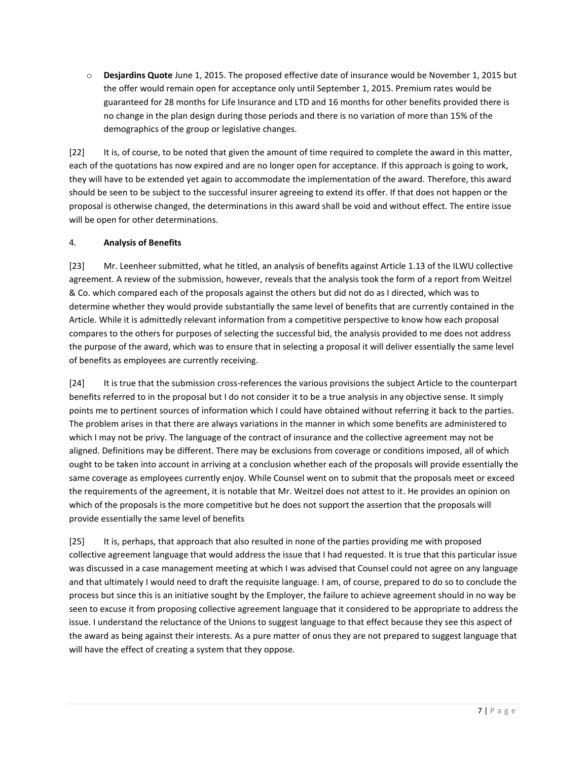o **Desjardins Quote** June 1, 2015. The proposed effective date of insurance would be November 1, 2015 but the offer would remain open for acceptance only until September 1, 2015. Premium rates would be guaranteed for 28 months for Life Insurance and LTD and 16 months for other benefits provided there is no change in the plan design during those periods and there is no variation of more than 15% of the demographics of the group or legislative changes.

[22] It is, of course, to be noted that given the amount of time required to complete the award in this matter, each of the quotations has now expired and are no longer open for acceptance. If this approach is going to work, they will have to be extended yet again to accommodate the implementation of the award. Therefore, this award should be seen to be subject to the successful insurer agreeing to extend its offer. If that does not happen or the proposal is otherwise changed, the determinations in this award shall be void and without effect. The entire issue will be open for other determinations.

## 4. **Analysis of Benefits**

[23] Mr. Leenheer submitted, what he titled, an analysis of benefits against Article 1.13 of the ILWU collective agreement. A review of the submission, however, reveals that the analysis took the form of a report from Weitzel & Co. which compared each of the proposals against the others but did not do as I directed, which was to determine whether they would provide substantially the same level of benefits that are currently contained in the Article. While it is admittedly relevant information from a competitive perspective to know how each proposal compares to the others for purposes of selecting the successful bid, the analysis provided to me does not address the purpose of the award, which was to ensure that in selecting a proposal it will deliver essentially the same level of benefits as employees are currently receiving.

[24] It is true that the submission cross-references the various provisions the subject Article to the counterpart benefits referred to in the proposal but I do not consider it to be a true analysis in any objective sense. It simply points me to pertinent sources of information which I could have obtained without referring it back to the parties. The problem arises in that there are always variations in the manner in which some benefits are administered to which I may not be privy. The language of the contract of insurance and the collective agreement may not be aligned. Definitions may be different. There may be exclusions from coverage or conditions imposed, all of which ought to be taken into account in arriving at a conclusion whether each of the proposals will provide essentially the same coverage as employees currently enjoy. While Counsel went on to submit that the proposals meet or exceed the requirements of the agreement, it is notable that Mr. Weitzel does not attest to it. He provides an opinion on which of the proposals is the more competitive but he does not support the assertion that the proposals will provide essentially the same level of benefits

[25] It is, perhaps, that approach that also resulted in none of the parties providing me with proposed collective agreement language that would address the issue that I had requested. It is true that this particular issue was discussed in a case management meeting at which I was advised that Counsel could not agree on any language and that ultimately I would need to draft the requisite language. I am, of course, prepared to do so to conclude the process but since this is an initiative sought by the Employer, the failure to achieve agreement should in no way be seen to excuse it from proposing collective agreement language that it considered to be appropriate to address the issue. I understand the reluctance of the Unions to suggest language to that effect because they see this aspect of the award as being against their interests. As a pure matter of onus they are not prepared to suggest language that will have the effect of creating a system that they oppose.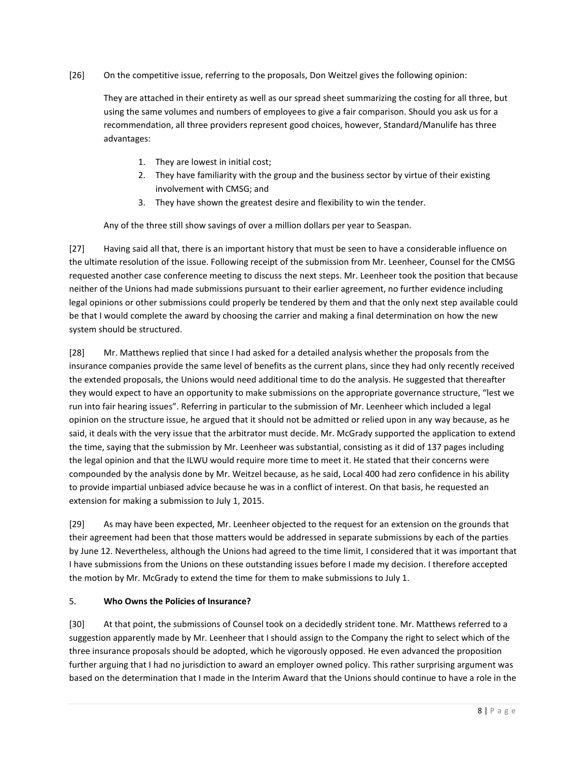## [26] On the competitive issue, referring to the proposals, Don Weitzel gives the following opinion:

They are attached in their entirety as well as our spread sheet summarizing the costing for all three, but using the same volumes and numbers of employees to give a fair comparison. Should you ask us for a recommendation, all three providers represent good choices, however, Standard/Manulife has three advantages:

- 1. They are lowest in initial cost;
- 2. They have familiarity with the group and the business sector by virtue of their existing involvement with CMSG; and
- 3. They have shown the greatest desire and flexibility to win the tender.

Any of the three still show savings of over a million dollars per year to Seaspan.

[27] Having said all that, there is an important history that must be seen to have a considerable influence on the ultimate resolution of the issue. Following receipt of the submission from Mr. Leenheer, Counsel for the CMSG requested another case conference meeting to discuss the next steps. Mr. Leenheer took the position that because neither of the Unions had made submissions pursuant to their earlier agreement, no further evidence including legal opinions or other submissions could properly be tendered by them and that the only next step available could be that I would complete the award by choosing the carrier and making a final determination on how the new system should be structured.

[28] Mr. Matthews replied that since I had asked for a detailed analysis whether the proposals from the insurance companies provide the same level of benefits as the current plans, since they had only recently received the extended proposals, the Unions would need additional time to do the analysis. He suggested that thereafter they would expect to have an opportunity to make submissions on the appropriate governance structure, "lest we run into fair hearing issues". Referring in particular to the submission of Mr. Leenheer which included a legal opinion on the structure issue, he argued that it should not be admitted or relied upon in any way because, as he said, it deals with the very issue that the arbitrator must decide. Mr. McGrady supported the application to extend the time, saying that the submission by Mr. Leenheer was substantial, consisting as it did of 137 pages including the legal opinion and that the ILWU would require more time to meet it. He stated that their concerns were compounded by the analysis done by Mr. Weitzel because, as he said, Local 400 had zero confidence in his ability to provide impartial unbiased advice because he was in a conflict of interest. On that basis, he requested an extension for making a submission to July 1, 2015.

[29] As may have been expected, Mr. Leenheer objected to the request for an extension on the grounds that their agreement had been that those matters would be addressed in separate submissions by each of the parties by June 12. Nevertheless, although the Unions had agreed to the time limit, I considered that it was important that I have submissions from the Unions on these outstanding issues before I made my decision. I therefore accepted the motion by Mr. McGrady to extend the time for them to make submissions to July 1.

## 5. **Who Owns the Policies of Insurance?**

[30] At that point, the submissions of Counsel took on a decidedly strident tone. Mr. Matthews referred to a suggestion apparently made by Mr. Leenheer that I should assign to the Company the right to select which of the three insurance proposals should be adopted, which he vigorously opposed. He even advanced the proposition further arguing that I had no jurisdiction to award an employer owned policy. This rather surprising argument was based on the determination that I made in the Interim Award that the Unions should continue to have a role in the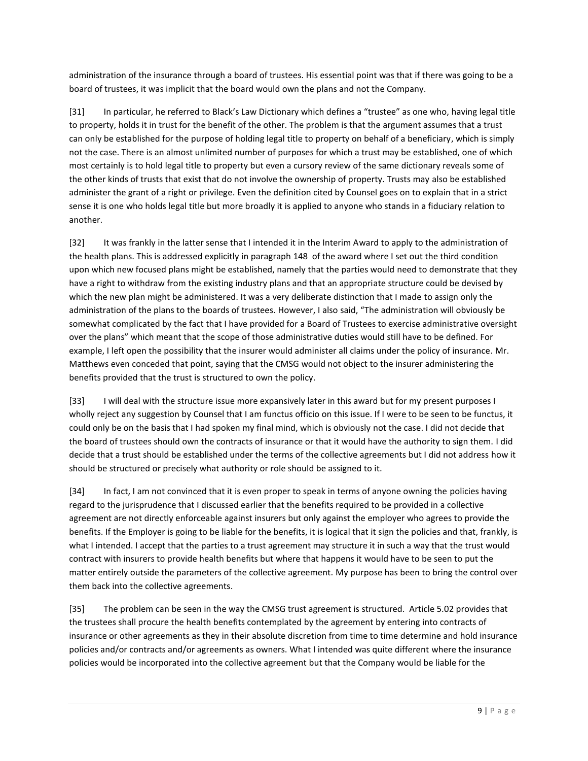administration of the insurance through a board of trustees. His essential point was that if there was going to be a board of trustees, it was implicit that the board would own the plans and not the Company.

[31] In particular, he referred to Black's Law Dictionary which defines a "trustee" as one who, having legal title to property, holds it in trust for the benefit of the other. The problem is that the argument assumes that a trust can only be established for the purpose of holding legal title to property on behalf of a beneficiary, which is simply not the case. There is an almost unlimited number of purposes for which a trust may be established, one of which most certainly is to hold legal title to property but even a cursory review of the same dictionary reveals some of the other kinds of trusts that exist that do not involve the ownership of property. Trusts may also be established administer the grant of a right or privilege. Even the definition cited by Counsel goes on to explain that in a strict sense it is one who holds legal title but more broadly it is applied to anyone who stands in a fiduciary relation to another.

[32] It was frankly in the latter sense that I intended it in the Interim Award to apply to the administration of the health plans. This is addressed explicitly in paragraph 148 of the award where I set out the third condition upon which new focused plans might be established, namely that the parties would need to demonstrate that they have a right to withdraw from the existing industry plans and that an appropriate structure could be devised by which the new plan might be administered. It was a very deliberate distinction that I made to assign only the administration of the plans to the boards of trustees. However, I also said, "The administration will obviously be somewhat complicated by the fact that I have provided for a Board of Trustees to exercise administrative oversight over the plans" which meant that the scope of those administrative duties would still have to be defined. For example, I left open the possibility that the insurer would administer all claims under the policy of insurance. Mr. Matthews even conceded that point, saying that the CMSG would not object to the insurer administering the benefits provided that the trust is structured to own the policy.

[33] I will deal with the structure issue more expansively later in this award but for my present purposes I wholly reject any suggestion by Counsel that I am functus officio on this issue. If I were to be seen to be functus, it could only be on the basis that I had spoken my final mind, which is obviously not the case. I did not decide that the board of trustees should own the contracts of insurance or that it would have the authority to sign them. I did decide that a trust should be established under the terms of the collective agreements but I did not address how it should be structured or precisely what authority or role should be assigned to it.

[34] In fact, I am not convinced that it is even proper to speak in terms of anyone owning the policies having regard to the jurisprudence that I discussed earlier that the benefits required to be provided in a collective agreement are not directly enforceable against insurers but only against the employer who agrees to provide the benefits. If the Employer is going to be liable for the benefits, it is logical that it sign the policies and that, frankly, is what I intended. I accept that the parties to a trust agreement may structure it in such a way that the trust would contract with insurers to provide health benefits but where that happens it would have to be seen to put the matter entirely outside the parameters of the collective agreement. My purpose has been to bring the control over them back into the collective agreements.

[35] The problem can be seen in the way the CMSG trust agreement is structured. Article 5.02 provides that the trustees shall procure the health benefits contemplated by the agreement by entering into contracts of insurance or other agreements as they in their absolute discretion from time to time determine and hold insurance policies and/or contracts and/or agreements as owners. What I intended was quite different where the insurance policies would be incorporated into the collective agreement but that the Company would be liable for the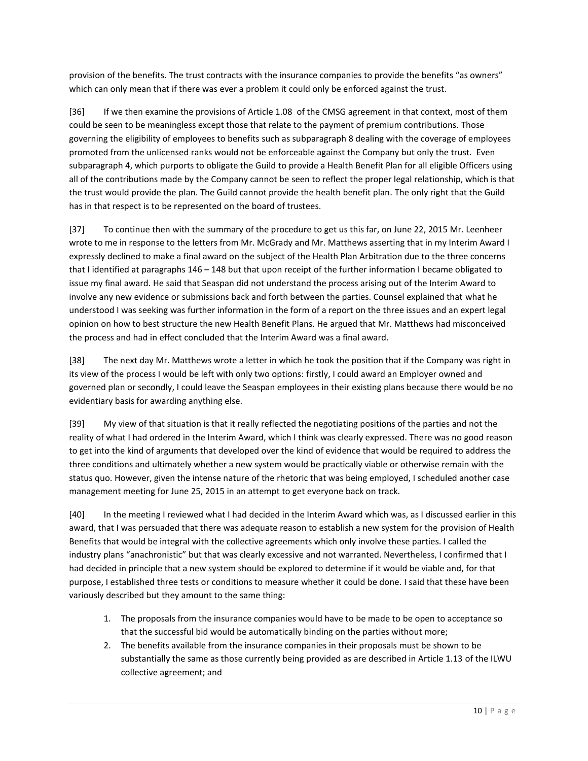provision of the benefits. The trust contracts with the insurance companies to provide the benefits "as owners" which can only mean that if there was ever a problem it could only be enforced against the trust.

[36] If we then examine the provisions of Article 1.08 of the CMSG agreement in that context, most of them could be seen to be meaningless except those that relate to the payment of premium contributions. Those governing the eligibility of employees to benefits such as subparagraph 8 dealing with the coverage of employees promoted from the unlicensed ranks would not be enforceable against the Company but only the trust. Even subparagraph 4, which purports to obligate the Guild to provide a Health Benefit Plan for all eligible Officers using all of the contributions made by the Company cannot be seen to reflect the proper legal relationship, which is that the trust would provide the plan. The Guild cannot provide the health benefit plan. The only right that the Guild has in that respect is to be represented on the board of trustees.

[37] To continue then with the summary of the procedure to get us this far, on June 22, 2015 Mr. Leenheer wrote to me in response to the letters from Mr. McGrady and Mr. Matthews asserting that in my Interim Award I expressly declined to make a final award on the subject of the Health Plan Arbitration due to the three concerns that I identified at paragraphs 146 – 148 but that upon receipt of the further information I became obligated to issue my final award. He said that Seaspan did not understand the process arising out of the Interim Award to involve any new evidence or submissions back and forth between the parties. Counsel explained that what he understood I was seeking was further information in the form of a report on the three issues and an expert legal opinion on how to best structure the new Health Benefit Plans. He argued that Mr. Matthews had misconceived the process and had in effect concluded that the Interim Award was a final award.

[38] The next day Mr. Matthews wrote a letter in which he took the position that if the Company was right in its view of the process I would be left with only two options: firstly, I could award an Employer owned and governed plan or secondly, I could leave the Seaspan employees in their existing plans because there would be no evidentiary basis for awarding anything else.

[39] My view of that situation is that it really reflected the negotiating positions of the parties and not the reality of what I had ordered in the Interim Award, which I think was clearly expressed. There was no good reason to get into the kind of arguments that developed over the kind of evidence that would be required to address the three conditions and ultimately whether a new system would be practically viable or otherwise remain with the status quo. However, given the intense nature of the rhetoric that was being employed, I scheduled another case management meeting for June 25, 2015 in an attempt to get everyone back on track.

[40] In the meeting I reviewed what I had decided in the Interim Award which was, as I discussed earlier in this award, that I was persuaded that there was adequate reason to establish a new system for the provision of Health Benefits that would be integral with the collective agreements which only involve these parties. I called the industry plans "anachronistic" but that was clearly excessive and not warranted. Nevertheless, I confirmed that I had decided in principle that a new system should be explored to determine if it would be viable and, for that purpose, I established three tests or conditions to measure whether it could be done. I said that these have been variously described but they amount to the same thing:

- 1. The proposals from the insurance companies would have to be made to be open to acceptance so that the successful bid would be automatically binding on the parties without more;
- 2. The benefits available from the insurance companies in their proposals must be shown to be substantially the same as those currently being provided as are described in Article 1.13 of the ILWU collective agreement; and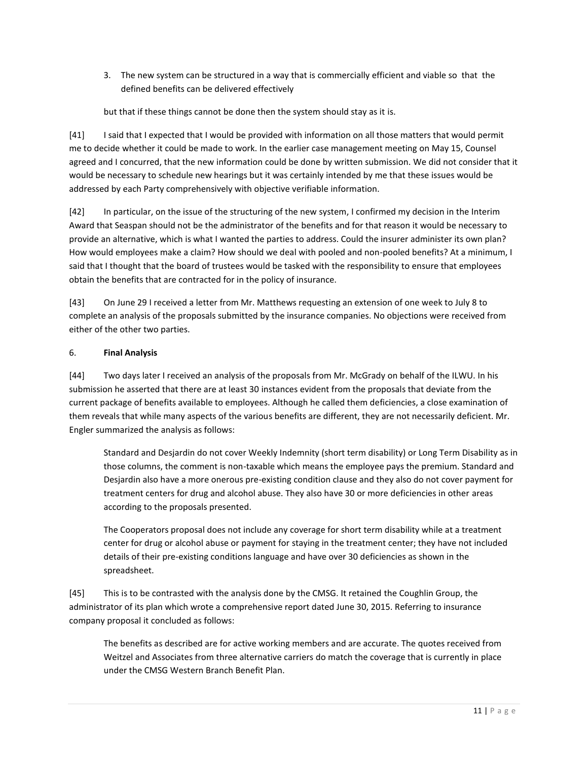3. The new system can be structured in a way that is commercially efficient and viable so that the defined benefits can be delivered effectively

but that if these things cannot be done then the system should stay as it is.

[41] I said that I expected that I would be provided with information on all those matters that would permit me to decide whether it could be made to work. In the earlier case management meeting on May 15, Counsel agreed and I concurred, that the new information could be done by written submission. We did not consider that it would be necessary to schedule new hearings but it was certainly intended by me that these issues would be addressed by each Party comprehensively with objective verifiable information.

[42] In particular, on the issue of the structuring of the new system, I confirmed my decision in the Interim Award that Seaspan should not be the administrator of the benefits and for that reason it would be necessary to provide an alternative, which is what I wanted the parties to address. Could the insurer administer its own plan? How would employees make a claim? How should we deal with pooled and non-pooled benefits? At a minimum, I said that I thought that the board of trustees would be tasked with the responsibility to ensure that employees obtain the benefits that are contracted for in the policy of insurance.

[43] On June 29 I received a letter from Mr. Matthews requesting an extension of one week to July 8 to complete an analysis of the proposals submitted by the insurance companies. No objections were received from either of the other two parties.

## 6. **Final Analysis**

[44] Two days later I received an analysis of the proposals from Mr. McGrady on behalf of the ILWU. In his submission he asserted that there are at least 30 instances evident from the proposals that deviate from the current package of benefits available to employees. Although he called them deficiencies, a close examination of them reveals that while many aspects of the various benefits are different, they are not necessarily deficient. Mr. Engler summarized the analysis as follows:

Standard and Desjardin do not cover Weekly Indemnity (short term disability) or Long Term Disability as in those columns, the comment is non-taxable which means the employee pays the premium. Standard and Desjardin also have a more onerous pre-existing condition clause and they also do not cover payment for treatment centers for drug and alcohol abuse. They also have 30 or more deficiencies in other areas according to the proposals presented.

The Cooperators proposal does not include any coverage for short term disability while at a treatment center for drug or alcohol abuse or payment for staying in the treatment center; they have not included details of their pre-existing conditions language and have over 30 deficiencies as shown in the spreadsheet.

[45] This is to be contrasted with the analysis done by the CMSG. It retained the Coughlin Group, the administrator of its plan which wrote a comprehensive report dated June 30, 2015. Referring to insurance company proposal it concluded as follows:

The benefits as described are for active working members and are accurate. The quotes received from Weitzel and Associates from three alternative carriers do match the coverage that is currently in place under the CMSG Western Branch Benefit Plan.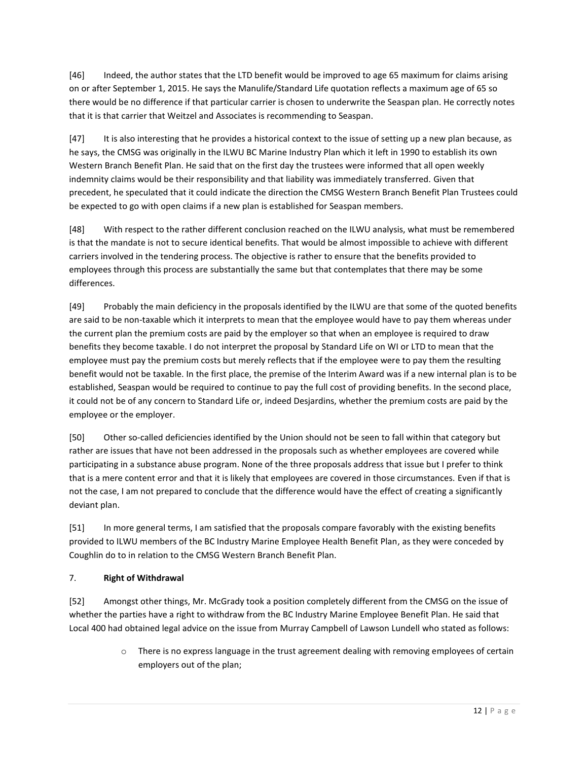[46] Indeed, the author states that the LTD benefit would be improved to age 65 maximum for claims arising on or after September 1, 2015. He says the Manulife/Standard Life quotation reflects a maximum age of 65 so there would be no difference if that particular carrier is chosen to underwrite the Seaspan plan. He correctly notes that it is that carrier that Weitzel and Associates is recommending to Seaspan.

[47] It is also interesting that he provides a historical context to the issue of setting up a new plan because, as he says, the CMSG was originally in the ILWU BC Marine Industry Plan which it left in 1990 to establish its own Western Branch Benefit Plan. He said that on the first day the trustees were informed that all open weekly indemnity claims would be their responsibility and that liability was immediately transferred. Given that precedent, he speculated that it could indicate the direction the CMSG Western Branch Benefit Plan Trustees could be expected to go with open claims if a new plan is established for Seaspan members.

[48] With respect to the rather different conclusion reached on the ILWU analysis, what must be remembered is that the mandate is not to secure identical benefits. That would be almost impossible to achieve with different carriers involved in the tendering process. The objective is rather to ensure that the benefits provided to employees through this process are substantially the same but that contemplates that there may be some differences.

[49] Probably the main deficiency in the proposals identified by the ILWU are that some of the quoted benefits are said to be non-taxable which it interprets to mean that the employee would have to pay them whereas under the current plan the premium costs are paid by the employer so that when an employee is required to draw benefits they become taxable. I do not interpret the proposal by Standard Life on WI or LTD to mean that the employee must pay the premium costs but merely reflects that if the employee were to pay them the resulting benefit would not be taxable. In the first place, the premise of the Interim Award was if a new internal plan is to be established, Seaspan would be required to continue to pay the full cost of providing benefits. In the second place, it could not be of any concern to Standard Life or, indeed Desjardins, whether the premium costs are paid by the employee or the employer.

[50] Other so-called deficiencies identified by the Union should not be seen to fall within that category but rather are issues that have not been addressed in the proposals such as whether employees are covered while participating in a substance abuse program. None of the three proposals address that issue but I prefer to think that is a mere content error and that it is likely that employees are covered in those circumstances. Even if that is not the case, I am not prepared to conclude that the difference would have the effect of creating a significantly deviant plan.

[51] In more general terms, I am satisfied that the proposals compare favorably with the existing benefits provided to ILWU members of the BC Industry Marine Employee Health Benefit Plan, as they were conceded by Coughlin do to in relation to the CMSG Western Branch Benefit Plan.

# 7. **Right of Withdrawal**

[52] Amongst other things, Mr. McGrady took a position completely different from the CMSG on the issue of whether the parties have a right to withdraw from the BC Industry Marine Employee Benefit Plan. He said that Local 400 had obtained legal advice on the issue from Murray Campbell of Lawson Lundell who stated as follows:

> $\circ$  There is no express language in the trust agreement dealing with removing employees of certain employers out of the plan;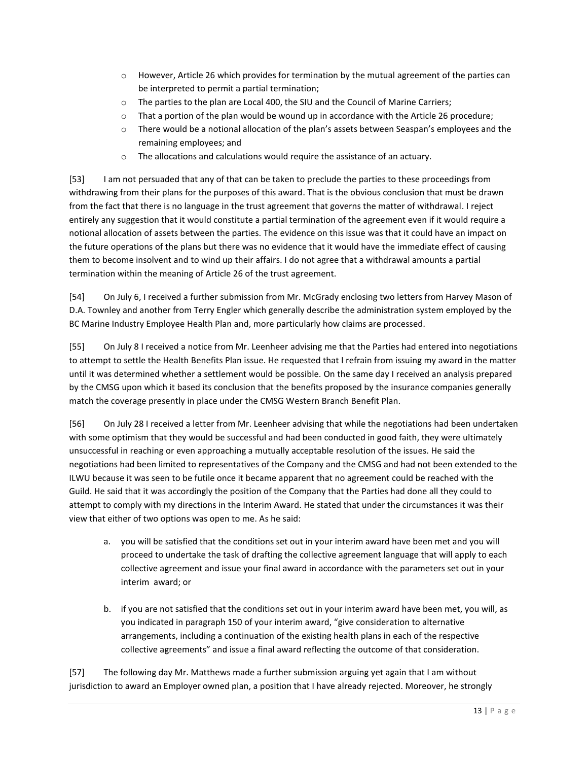- $\circ$  However, Article 26 which provides for termination by the mutual agreement of the parties can be interpreted to permit a partial termination;
- $\circ$  The parties to the plan are Local 400, the SIU and the Council of Marine Carriers;
- $\circ$  That a portion of the plan would be wound up in accordance with the Article 26 procedure;
- o There would be a notional allocation of the plan's assets between Seaspan's employees and the remaining employees; and
- o The allocations and calculations would require the assistance of an actuary.

[53] I am not persuaded that any of that can be taken to preclude the parties to these proceedings from withdrawing from their plans for the purposes of this award. That is the obvious conclusion that must be drawn from the fact that there is no language in the trust agreement that governs the matter of withdrawal. I reject entirely any suggestion that it would constitute a partial termination of the agreement even if it would require a notional allocation of assets between the parties. The evidence on this issue was that it could have an impact on the future operations of the plans but there was no evidence that it would have the immediate effect of causing them to become insolvent and to wind up their affairs. I do not agree that a withdrawal amounts a partial termination within the meaning of Article 26 of the trust agreement.

[54] On July 6, I received a further submission from Mr. McGrady enclosing two letters from Harvey Mason of D.A. Townley and another from Terry Engler which generally describe the administration system employed by the BC Marine Industry Employee Health Plan and, more particularly how claims are processed.

[55] On July 8 I received a notice from Mr. Leenheer advising me that the Parties had entered into negotiations to attempt to settle the Health Benefits Plan issue. He requested that I refrain from issuing my award in the matter until it was determined whether a settlement would be possible. On the same day I received an analysis prepared by the CMSG upon which it based its conclusion that the benefits proposed by the insurance companies generally match the coverage presently in place under the CMSG Western Branch Benefit Plan.

[56] On July 28 I received a letter from Mr. Leenheer advising that while the negotiations had been undertaken with some optimism that they would be successful and had been conducted in good faith, they were ultimately unsuccessful in reaching or even approaching a mutually acceptable resolution of the issues. He said the negotiations had been limited to representatives of the Company and the CMSG and had not been extended to the ILWU because it was seen to be futile once it became apparent that no agreement could be reached with the Guild. He said that it was accordingly the position of the Company that the Parties had done all they could to attempt to comply with my directions in the Interim Award. He stated that under the circumstances it was their view that either of two options was open to me. As he said:

- a. you will be satisfied that the conditions set out in your interim award have been met and you will proceed to undertake the task of drafting the collective agreement language that will apply to each collective agreement and issue your final award in accordance with the parameters set out in your interim award; or
- b. if you are not satisfied that the conditions set out in your interim award have been met, you will, as you indicated in paragraph 150 of your interim award, "give consideration to alternative arrangements, including a continuation of the existing health plans in each of the respective collective agreements" and issue a final award reflecting the outcome of that consideration.

[57] The following day Mr. Matthews made a further submission arguing yet again that I am without jurisdiction to award an Employer owned plan, a position that I have already rejected. Moreover, he strongly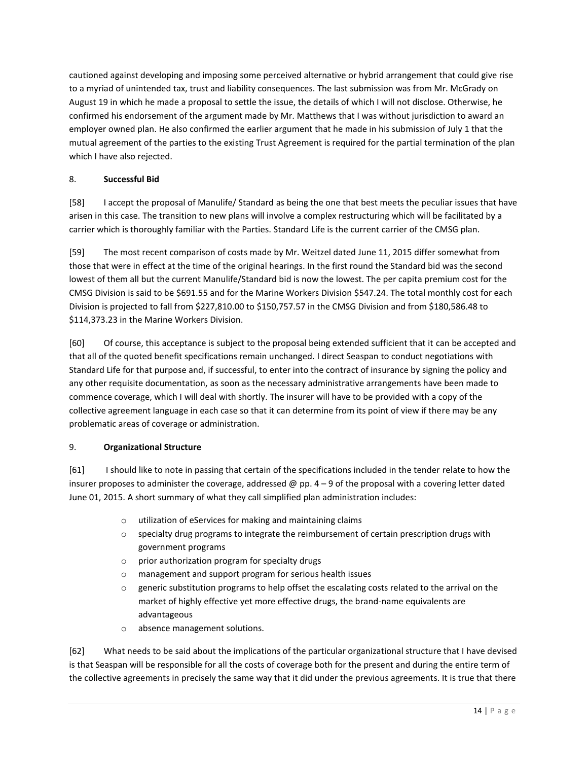cautioned against developing and imposing some perceived alternative or hybrid arrangement that could give rise to a myriad of unintended tax, trust and liability consequences. The last submission was from Mr. McGrady on August 19 in which he made a proposal to settle the issue, the details of which I will not disclose. Otherwise, he confirmed his endorsement of the argument made by Mr. Matthews that I was without jurisdiction to award an employer owned plan. He also confirmed the earlier argument that he made in his submission of July 1 that the mutual agreement of the parties to the existing Trust Agreement is required for the partial termination of the plan which I have also rejected.

## 8. **Successful Bid**

[58] I accept the proposal of Manulife/ Standard as being the one that best meets the peculiar issues that have arisen in this case. The transition to new plans will involve a complex restructuring which will be facilitated by a carrier which is thoroughly familiar with the Parties. Standard Life is the current carrier of the CMSG plan.

[59] The most recent comparison of costs made by Mr. Weitzel dated June 11, 2015 differ somewhat from those that were in effect at the time of the original hearings. In the first round the Standard bid was the second lowest of them all but the current Manulife/Standard bid is now the lowest. The per capita premium cost for the CMSG Division is said to be \$691.55 and for the Marine Workers Division \$547.24. The total monthly cost for each Division is projected to fall from \$227,810.00 to \$150,757.57 in the CMSG Division and from \$180,586.48 to \$114,373.23 in the Marine Workers Division.

[60] Of course, this acceptance is subject to the proposal being extended sufficient that it can be accepted and that all of the quoted benefit specifications remain unchanged. I direct Seaspan to conduct negotiations with Standard Life for that purpose and, if successful, to enter into the contract of insurance by signing the policy and any other requisite documentation, as soon as the necessary administrative arrangements have been made to commence coverage, which I will deal with shortly. The insurer will have to be provided with a copy of the collective agreement language in each case so that it can determine from its point of view if there may be any problematic areas of coverage or administration.

# 9. **Organizational Structure**

[61] I should like to note in passing that certain of the specifications included in the tender relate to how the insurer proposes to administer the coverage, addressed @ pp.  $4 - 9$  of the proposal with a covering letter dated June 01, 2015. A short summary of what they call simplified plan administration includes:

- o utilization of eServices for making and maintaining claims
- $\circ$  specialty drug programs to integrate the reimbursement of certain prescription drugs with government programs
- o prior authorization program for specialty drugs
- o management and support program for serious health issues
- $\circ$  generic substitution programs to help offset the escalating costs related to the arrival on the market of highly effective yet more effective drugs, the brand-name equivalents are advantageous
- o absence management solutions.

[62] What needs to be said about the implications of the particular organizational structure that I have devised is that Seaspan will be responsible for all the costs of coverage both for the present and during the entire term of the collective agreements in precisely the same way that it did under the previous agreements. It is true that there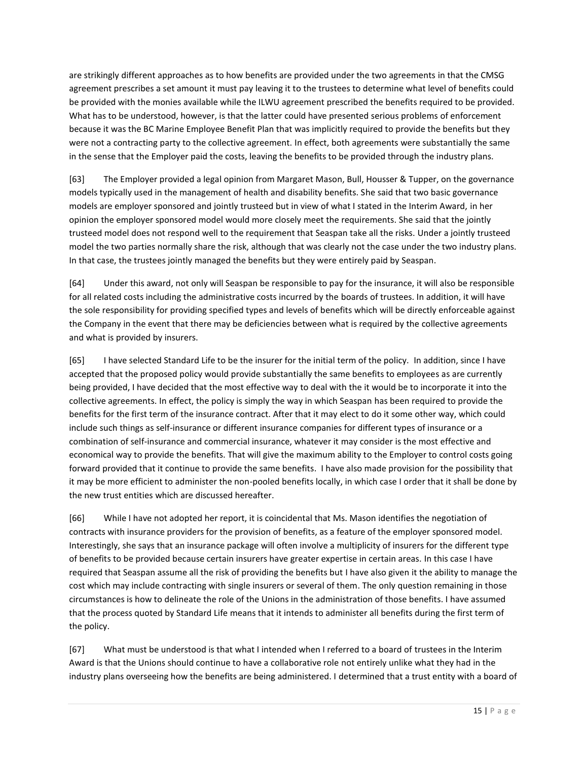are strikingly different approaches as to how benefits are provided under the two agreements in that the CMSG agreement prescribes a set amount it must pay leaving it to the trustees to determine what level of benefits could be provided with the monies available while the ILWU agreement prescribed the benefits required to be provided. What has to be understood, however, is that the latter could have presented serious problems of enforcement because it was the BC Marine Employee Benefit Plan that was implicitly required to provide the benefits but they were not a contracting party to the collective agreement. In effect, both agreements were substantially the same in the sense that the Employer paid the costs, leaving the benefits to be provided through the industry plans.

[63] The Employer provided a legal opinion from Margaret Mason, Bull, Housser & Tupper, on the governance models typically used in the management of health and disability benefits. She said that two basic governance models are employer sponsored and jointly trusteed but in view of what I stated in the Interim Award, in her opinion the employer sponsored model would more closely meet the requirements. She said that the jointly trusteed model does not respond well to the requirement that Seaspan take all the risks. Under a jointly trusteed model the two parties normally share the risk, although that was clearly not the case under the two industry plans. In that case, the trustees jointly managed the benefits but they were entirely paid by Seaspan.

[64] Under this award, not only will Seaspan be responsible to pay for the insurance, it will also be responsible for all related costs including the administrative costs incurred by the boards of trustees. In addition, it will have the sole responsibility for providing specified types and levels of benefits which will be directly enforceable against the Company in the event that there may be deficiencies between what is required by the collective agreements and what is provided by insurers.

[65] I have selected Standard Life to be the insurer for the initial term of the policy. In addition, since I have accepted that the proposed policy would provide substantially the same benefits to employees as are currently being provided, I have decided that the most effective way to deal with the it would be to incorporate it into the collective agreements. In effect, the policy is simply the way in which Seaspan has been required to provide the benefits for the first term of the insurance contract. After that it may elect to do it some other way, which could include such things as self-insurance or different insurance companies for different types of insurance or a combination of self-insurance and commercial insurance, whatever it may consider is the most effective and economical way to provide the benefits. That will give the maximum ability to the Employer to control costs going forward provided that it continue to provide the same benefits. I have also made provision for the possibility that it may be more efficient to administer the non-pooled benefits locally, in which case I order that it shall be done by the new trust entities which are discussed hereafter.

[66] While I have not adopted her report, it is coincidental that Ms. Mason identifies the negotiation of contracts with insurance providers for the provision of benefits, as a feature of the employer sponsored model. Interestingly, she says that an insurance package will often involve a multiplicity of insurers for the different type of benefits to be provided because certain insurers have greater expertise in certain areas. In this case I have required that Seaspan assume all the risk of providing the benefits but I have also given it the ability to manage the cost which may include contracting with single insurers or several of them. The only question remaining in those circumstances is how to delineate the role of the Unions in the administration of those benefits. I have assumed that the process quoted by Standard Life means that it intends to administer all benefits during the first term of the policy.

[67] What must be understood is that what I intended when I referred to a board of trustees in the Interim Award is that the Unions should continue to have a collaborative role not entirely unlike what they had in the industry plans overseeing how the benefits are being administered. I determined that a trust entity with a board of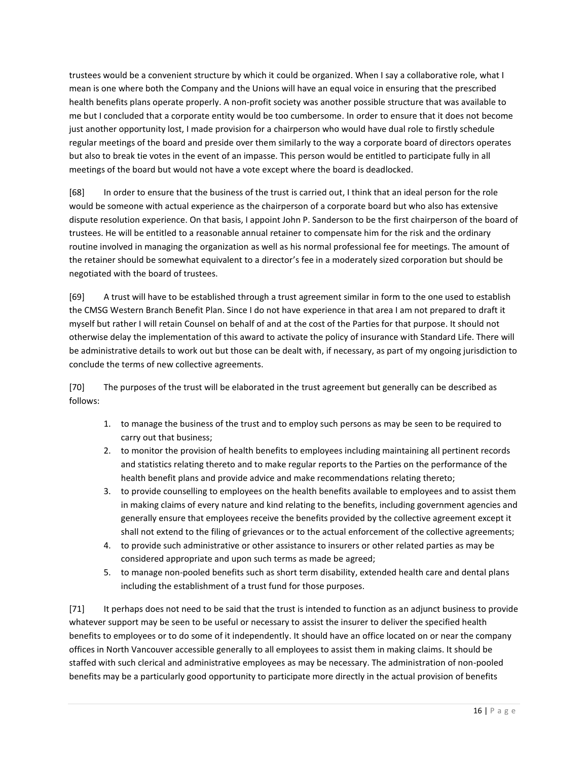trustees would be a convenient structure by which it could be organized. When I say a collaborative role, what I mean is one where both the Company and the Unions will have an equal voice in ensuring that the prescribed health benefits plans operate properly. A non-profit society was another possible structure that was available to me but I concluded that a corporate entity would be too cumbersome. In order to ensure that it does not become just another opportunity lost, I made provision for a chairperson who would have dual role to firstly schedule regular meetings of the board and preside over them similarly to the way a corporate board of directors operates but also to break tie votes in the event of an impasse. This person would be entitled to participate fully in all meetings of the board but would not have a vote except where the board is deadlocked.

[68] In order to ensure that the business of the trust is carried out, I think that an ideal person for the role would be someone with actual experience as the chairperson of a corporate board but who also has extensive dispute resolution experience. On that basis, I appoint John P. Sanderson to be the first chairperson of the board of trustees. He will be entitled to a reasonable annual retainer to compensate him for the risk and the ordinary routine involved in managing the organization as well as his normal professional fee for meetings. The amount of the retainer should be somewhat equivalent to a director's fee in a moderately sized corporation but should be negotiated with the board of trustees.

[69] A trust will have to be established through a trust agreement similar in form to the one used to establish the CMSG Western Branch Benefit Plan. Since I do not have experience in that area I am not prepared to draft it myself but rather I will retain Counsel on behalf of and at the cost of the Parties for that purpose. It should not otherwise delay the implementation of this award to activate the policy of insurance with Standard Life. There will be administrative details to work out but those can be dealt with, if necessary, as part of my ongoing jurisdiction to conclude the terms of new collective agreements.

[70] The purposes of the trust will be elaborated in the trust agreement but generally can be described as follows:

- 1. to manage the business of the trust and to employ such persons as may be seen to be required to carry out that business;
- 2. to monitor the provision of health benefits to employees including maintaining all pertinent records and statistics relating thereto and to make regular reports to the Parties on the performance of the health benefit plans and provide advice and make recommendations relating thereto;
- 3. to provide counselling to employees on the health benefits available to employees and to assist them in making claims of every nature and kind relating to the benefits, including government agencies and generally ensure that employees receive the benefits provided by the collective agreement except it shall not extend to the filing of grievances or to the actual enforcement of the collective agreements;
- 4. to provide such administrative or other assistance to insurers or other related parties as may be considered appropriate and upon such terms as made be agreed;
- 5. to manage non-pooled benefits such as short term disability, extended health care and dental plans including the establishment of a trust fund for those purposes.

[71] It perhaps does not need to be said that the trust is intended to function as an adjunct business to provide whatever support may be seen to be useful or necessary to assist the insurer to deliver the specified health benefits to employees or to do some of it independently. It should have an office located on or near the company offices in North Vancouver accessible generally to all employees to assist them in making claims. It should be staffed with such clerical and administrative employees as may be necessary. The administration of non-pooled benefits may be a particularly good opportunity to participate more directly in the actual provision of benefits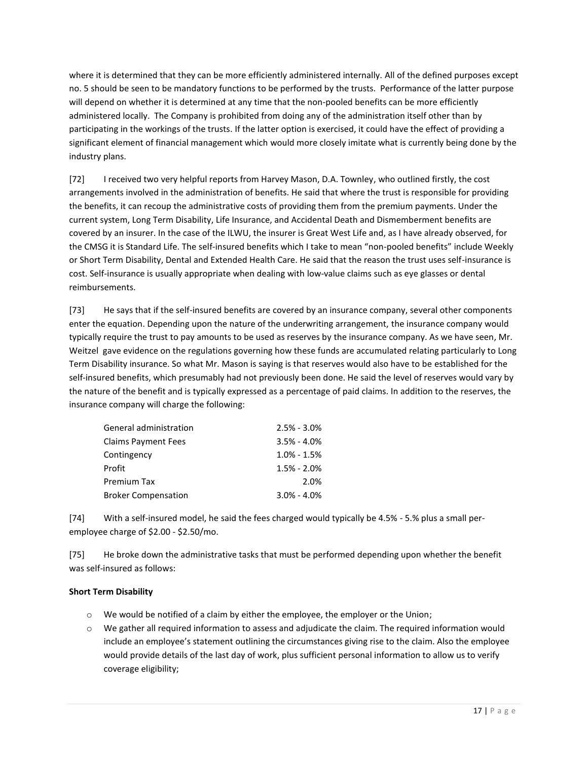where it is determined that they can be more efficiently administered internally. All of the defined purposes except no. 5 should be seen to be mandatory functions to be performed by the trusts. Performance of the latter purpose will depend on whether it is determined at any time that the non-pooled benefits can be more efficiently administered locally. The Company is prohibited from doing any of the administration itself other than by participating in the workings of the trusts. If the latter option is exercised, it could have the effect of providing a significant element of financial management which would more closely imitate what is currently being done by the industry plans.

[72] I received two very helpful reports from Harvey Mason, D.A. Townley, who outlined firstly, the cost arrangements involved in the administration of benefits. He said that where the trust is responsible for providing the benefits, it can recoup the administrative costs of providing them from the premium payments. Under the current system, Long Term Disability, Life Insurance, and Accidental Death and Dismemberment benefits are covered by an insurer. In the case of the ILWU, the insurer is Great West Life and, as I have already observed, for the CMSG it is Standard Life. The self-insured benefits which I take to mean "non-pooled benefits" include Weekly or Short Term Disability, Dental and Extended Health Care. He said that the reason the trust uses self-insurance is cost. Self-insurance is usually appropriate when dealing with low-value claims such as eye glasses or dental reimbursements.

[73] He says that if the self-insured benefits are covered by an insurance company, several other components enter the equation. Depending upon the nature of the underwriting arrangement, the insurance company would typically require the trust to pay amounts to be used as reserves by the insurance company. As we have seen, Mr. Weitzel gave evidence on the regulations governing how these funds are accumulated relating particularly to Long Term Disability insurance. So what Mr. Mason is saying is that reserves would also have to be established for the self-insured benefits, which presumably had not previously been done. He said the level of reserves would vary by the nature of the benefit and is typically expressed as a percentage of paid claims. In addition to the reserves, the insurance company will charge the following:

| General administration     | $2.5% - 3.0%$   |
|----------------------------|-----------------|
| Claims Payment Fees        | $3.5\% - 4.0\%$ |
| Contingency                | $1.0\% - 1.5\%$ |
| Profit                     | $1.5% - 2.0%$   |
| Premium Tax                | 2.0%            |
| <b>Broker Compensation</b> | $3.0\% - 4.0\%$ |

[74] With a self-insured model, he said the fees charged would typically be 4.5% - 5.% plus a small peremployee charge of \$2.00 - \$2.50/mo.

[75] He broke down the administrative tasks that must be performed depending upon whether the benefit was self-insured as follows:

# **Short Term Disability**

- $\circ$  We would be notified of a claim by either the employee, the employer or the Union;
- o We gather all required information to assess and adjudicate the claim. The required information would include an employee's statement outlining the circumstances giving rise to the claim. Also the employee would provide details of the last day of work, plus sufficient personal information to allow us to verify coverage eligibility;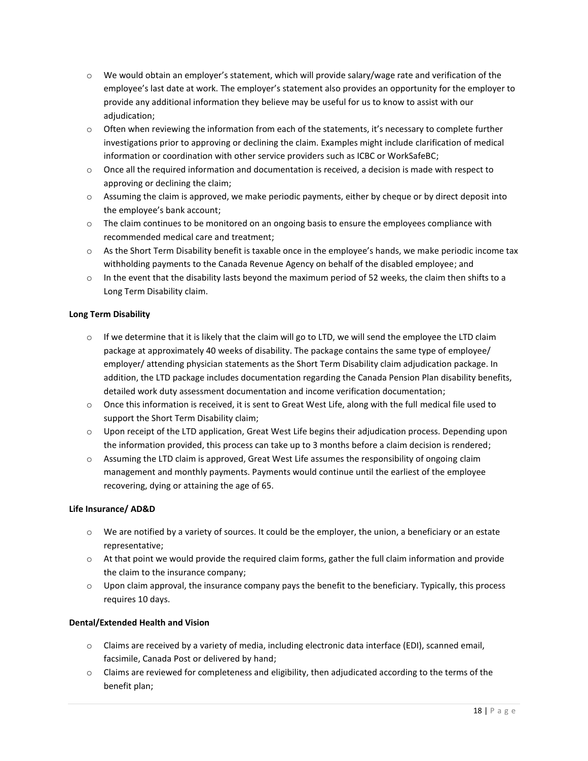- $\circ$  We would obtain an employer's statement, which will provide salary/wage rate and verification of the employee's last date at work. The employer's statement also provides an opportunity for the employer to provide any additional information they believe may be useful for us to know to assist with our adjudication;
- $\circ$  Often when reviewing the information from each of the statements, it's necessary to complete further investigations prior to approving or declining the claim. Examples might include clarification of medical information or coordination with other service providers such as ICBC or WorkSafeBC;
- $\circ$  Once all the required information and documentation is received, a decision is made with respect to approving or declining the claim;
- $\circ$  Assuming the claim is approved, we make periodic payments, either by cheque or by direct deposit into the employee's bank account;
- $\circ$  The claim continues to be monitored on an ongoing basis to ensure the employees compliance with recommended medical care and treatment;
- o As the Short Term Disability benefit is taxable once in the employee's hands, we make periodic income tax withholding payments to the Canada Revenue Agency on behalf of the disabled employee; and
- $\circ$  In the event that the disability lasts beyond the maximum period of 52 weeks, the claim then shifts to a Long Term Disability claim.

## **Long Term Disability**

- $\circ$  If we determine that it is likely that the claim will go to LTD, we will send the employee the LTD claim package at approximately 40 weeks of disability. The package contains the same type of employee/ employer/ attending physician statements as the Short Term Disability claim adjudication package. In addition, the LTD package includes documentation regarding the Canada Pension Plan disability benefits, detailed work duty assessment documentation and income verification documentation;
- $\circ$  Once this information is received, it is sent to Great West Life, along with the full medical file used to support the Short Term Disability claim;
- $\circ$  Upon receipt of the LTD application, Great West Life begins their adjudication process. Depending upon the information provided, this process can take up to 3 months before a claim decision is rendered;
- o Assuming the LTD claim is approved, Great West Life assumes the responsibility of ongoing claim management and monthly payments. Payments would continue until the earliest of the employee recovering, dying or attaining the age of 65.

## **Life Insurance/ AD&D**

- $\circ$  We are notified by a variety of sources. It could be the employer, the union, a beneficiary or an estate representative;
- o At that point we would provide the required claim forms, gather the full claim information and provide the claim to the insurance company;
- $\circ$  Upon claim approval, the insurance company pays the benefit to the beneficiary. Typically, this process requires 10 days.

## **Dental/Extended Health and Vision**

- o Claims are received by a variety of media, including electronic data interface (EDI), scanned email, facsimile, Canada Post or delivered by hand;
- $\circ$  Claims are reviewed for completeness and eligibility, then adjudicated according to the terms of the benefit plan;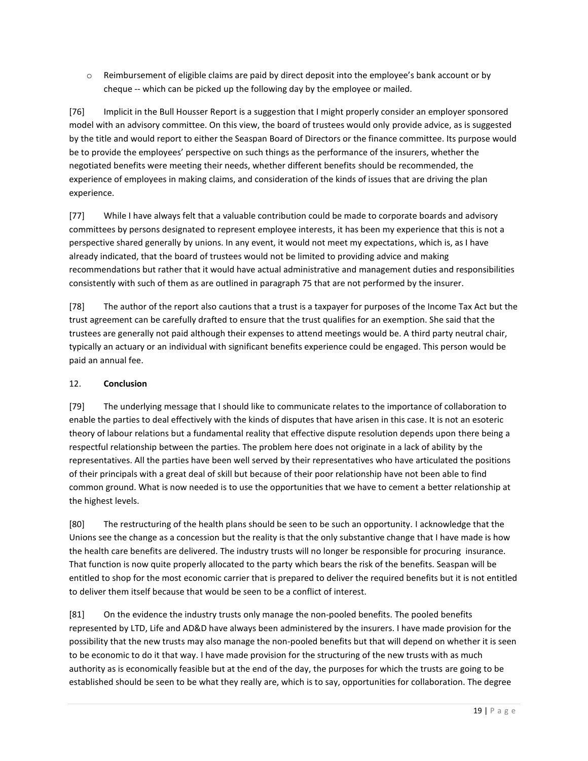o Reimbursement of eligible claims are paid by direct deposit into the employee's bank account or by cheque -- which can be picked up the following day by the employee or mailed.

[76] Implicit in the Bull Housser Report is a suggestion that I might properly consider an employer sponsored model with an advisory committee. On this view, the board of trustees would only provide advice, as is suggested by the title and would report to either the Seaspan Board of Directors or the finance committee. Its purpose would be to provide the employees' perspective on such things as the performance of the insurers, whether the negotiated benefits were meeting their needs, whether different benefits should be recommended, the experience of employees in making claims, and consideration of the kinds of issues that are driving the plan experience.

[77] While I have always felt that a valuable contribution could be made to corporate boards and advisory committees by persons designated to represent employee interests, it has been my experience that this is not a perspective shared generally by unions. In any event, it would not meet my expectations, which is, as I have already indicated, that the board of trustees would not be limited to providing advice and making recommendations but rather that it would have actual administrative and management duties and responsibilities consistently with such of them as are outlined in paragraph 75 that are not performed by the insurer.

[78] The author of the report also cautions that a trust is a taxpayer for purposes of the Income Tax Act but the trust agreement can be carefully drafted to ensure that the trust qualifies for an exemption. She said that the trustees are generally not paid although their expenses to attend meetings would be. A third party neutral chair, typically an actuary or an individual with significant benefits experience could be engaged. This person would be paid an annual fee.

# 12. **Conclusion**

[79] The underlying message that I should like to communicate relates to the importance of collaboration to enable the parties to deal effectively with the kinds of disputes that have arisen in this case. It is not an esoteric theory of labour relations but a fundamental reality that effective dispute resolution depends upon there being a respectful relationship between the parties. The problem here does not originate in a lack of ability by the representatives. All the parties have been well served by their representatives who have articulated the positions of their principals with a great deal of skill but because of their poor relationship have not been able to find common ground. What is now needed is to use the opportunities that we have to cement a better relationship at the highest levels.

[80] The restructuring of the health plans should be seen to be such an opportunity. I acknowledge that the Unions see the change as a concession but the reality is that the only substantive change that I have made is how the health care benefits are delivered. The industry trusts will no longer be responsible for procuring insurance. That function is now quite properly allocated to the party which bears the risk of the benefits. Seaspan will be entitled to shop for the most economic carrier that is prepared to deliver the required benefits but it is not entitled to deliver them itself because that would be seen to be a conflict of interest.

[81] On the evidence the industry trusts only manage the non-pooled benefits. The pooled benefits represented by LTD, Life and AD&D have always been administered by the insurers. I have made provision for the possibility that the new trusts may also manage the non-pooled benefits but that will depend on whether it is seen to be economic to do it that way. I have made provision for the structuring of the new trusts with as much authority as is economically feasible but at the end of the day, the purposes for which the trusts are going to be established should be seen to be what they really are, which is to say, opportunities for collaboration. The degree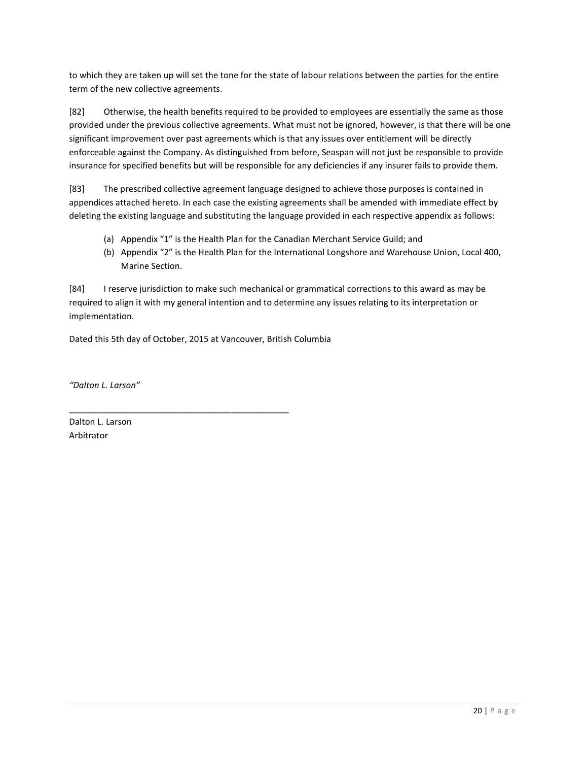to which they are taken up will set the tone for the state of labour relations between the parties for the entire term of the new collective agreements.

[82] Otherwise, the health benefits required to be provided to employees are essentially the same as those provided under the previous collective agreements. What must not be ignored, however, is that there will be one significant improvement over past agreements which is that any issues over entitlement will be directly enforceable against the Company. As distinguished from before, Seaspan will not just be responsible to provide insurance for specified benefits but will be responsible for any deficiencies if any insurer fails to provide them.

[83] The prescribed collective agreement language designed to achieve those purposes is contained in appendices attached hereto. In each case the existing agreements shall be amended with immediate effect by deleting the existing language and substituting the language provided in each respective appendix as follows:

- (a) Appendix "1" is the Health Plan for the Canadian Merchant Service Guild; and
- (b) Appendix "2" is the Health Plan for the International Longshore and Warehouse Union, Local 400, Marine Section.

[84] I reserve jurisdiction to make such mechanical or grammatical corrections to this award as may be required to align it with my general intention and to determine any issues relating to its interpretation or implementation.

Dated this 5th day of October, 2015 at Vancouver, British Columbia

\_\_\_\_\_\_\_\_\_\_\_\_\_\_\_\_\_\_\_\_\_\_\_\_\_\_\_\_\_\_\_\_\_\_\_\_\_\_\_\_\_\_\_\_\_\_

*"Dalton L. Larson"*

Dalton L. Larson Arbitrator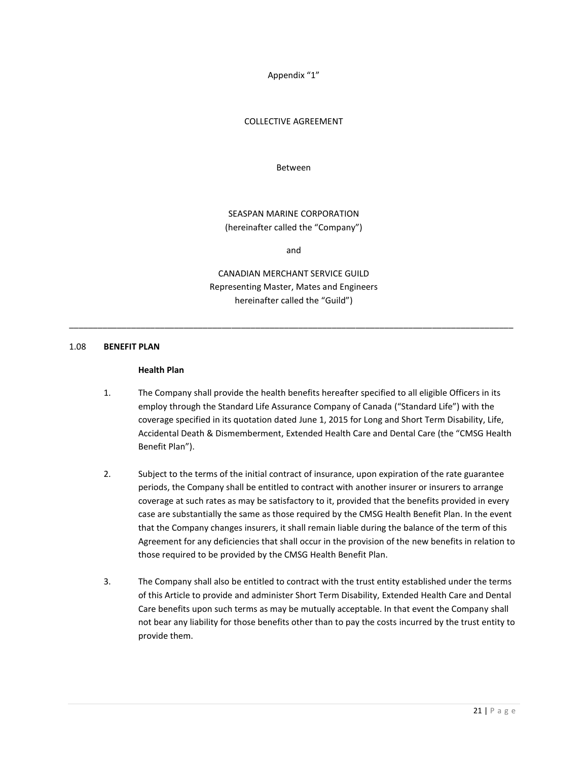Appendix "1"

#### COLLECTIVE AGREEMENT

Between

# SEASPAN MARINE CORPORATION (hereinafter called the "Company")

and

CANADIAN MERCHANT SERVICE GUILD Representing Master, Mates and Engineers hereinafter called the "Guild")

\_\_\_\_\_\_\_\_\_\_\_\_\_\_\_\_\_\_\_\_\_\_\_\_\_\_\_\_\_\_\_\_\_\_\_\_\_\_\_\_\_\_\_\_\_\_\_\_\_\_\_\_\_\_\_\_\_\_\_\_\_\_\_\_\_\_\_\_\_\_\_\_\_\_\_\_\_\_\_\_\_\_\_\_\_\_\_\_\_\_\_\_\_

#### 1.08 **BENEFIT PLAN**

#### **Health Plan**

- 1. The Company shall provide the health benefits hereafter specified to all eligible Officers in its employ through the Standard Life Assurance Company of Canada ("Standard Life") with the coverage specified in its quotation dated June 1, 2015 for Long and Short Term Disability, Life, Accidental Death & Dismemberment, Extended Health Care and Dental Care (the "CMSG Health Benefit Plan").
- 2. Subject to the terms of the initial contract of insurance, upon expiration of the rate guarantee periods, the Company shall be entitled to contract with another insurer or insurers to arrange coverage at such rates as may be satisfactory to it, provided that the benefits provided in every case are substantially the same as those required by the CMSG Health Benefit Plan. In the event that the Company changes insurers, it shall remain liable during the balance of the term of this Agreement for any deficiencies that shall occur in the provision of the new benefits in relation to those required to be provided by the CMSG Health Benefit Plan.
- 3. The Company shall also be entitled to contract with the trust entity established under the terms of this Article to provide and administer Short Term Disability, Extended Health Care and Dental Care benefits upon such terms as may be mutually acceptable. In that event the Company shall not bear any liability for those benefits other than to pay the costs incurred by the trust entity to provide them.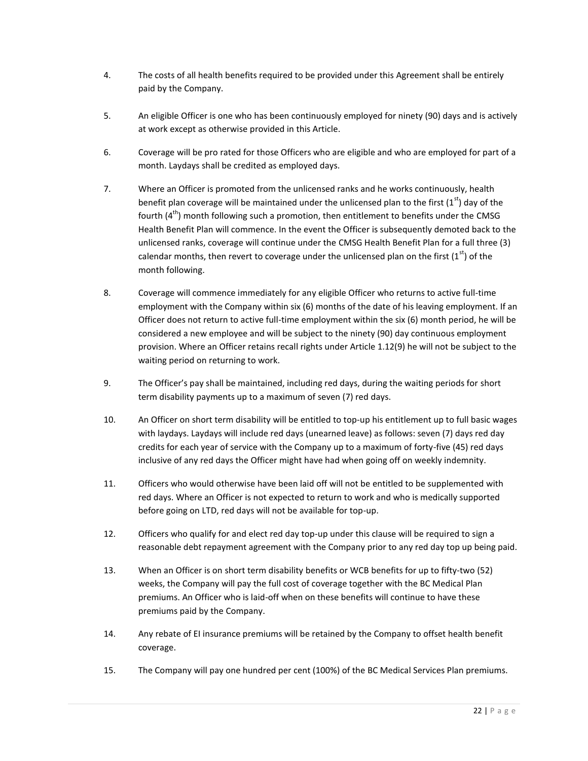- 4. The costs of all health benefits required to be provided under this Agreement shall be entirely paid by the Company.
- 5. An eligible Officer is one who has been continuously employed for ninety (90) days and is actively at work except as otherwise provided in this Article.
- 6. Coverage will be pro rated for those Officers who are eligible and who are employed for part of a month. Laydays shall be credited as employed days.
- 7. Where an Officer is promoted from the unlicensed ranks and he works continuously, health benefit plan coverage will be maintained under the unlicensed plan to the first  $(1^{st})$  day of the fourth  $(4<sup>th</sup>)$  month following such a promotion, then entitlement to benefits under the CMSG Health Benefit Plan will commence. In the event the Officer is subsequently demoted back to the unlicensed ranks, coverage will continue under the CMSG Health Benefit Plan for a full three (3) calendar months, then revert to coverage under the unlicensed plan on the first ( $1<sup>st</sup>$ ) of the month following.
- 8. Coverage will commence immediately for any eligible Officer who returns to active full-time employment with the Company within six (6) months of the date of his leaving employment. If an Officer does not return to active full-time employment within the six (6) month period, he will be considered a new employee and will be subject to the ninety (90) day continuous employment provision. Where an Officer retains recall rights under Article 1.12(9) he will not be subject to the waiting period on returning to work.
- 9. The Officer's pay shall be maintained, including red days, during the waiting periods for short term disability payments up to a maximum of seven (7) red days.
- 10. An Officer on short term disability will be entitled to top-up his entitlement up to full basic wages with laydays. Laydays will include red days (unearned leave) as follows: seven (7) days red day credits for each year of service with the Company up to a maximum of forty-five (45) red days inclusive of any red days the Officer might have had when going off on weekly indemnity.
- 11. Officers who would otherwise have been laid off will not be entitled to be supplemented with red days. Where an Officer is not expected to return to work and who is medically supported before going on LTD, red days will not be available for top-up.
- 12. Officers who qualify for and elect red day top-up under this clause will be required to sign a reasonable debt repayment agreement with the Company prior to any red day top up being paid.
- 13. When an Officer is on short term disability benefits or WCB benefits for up to fifty-two (52) weeks, the Company will pay the full cost of coverage together with the BC Medical Plan premiums. An Officer who is laid-off when on these benefits will continue to have these premiums paid by the Company.
- 14. Any rebate of EI insurance premiums will be retained by the Company to offset health benefit coverage.
- 15. The Company will pay one hundred per cent (100%) of the BC Medical Services Plan premiums.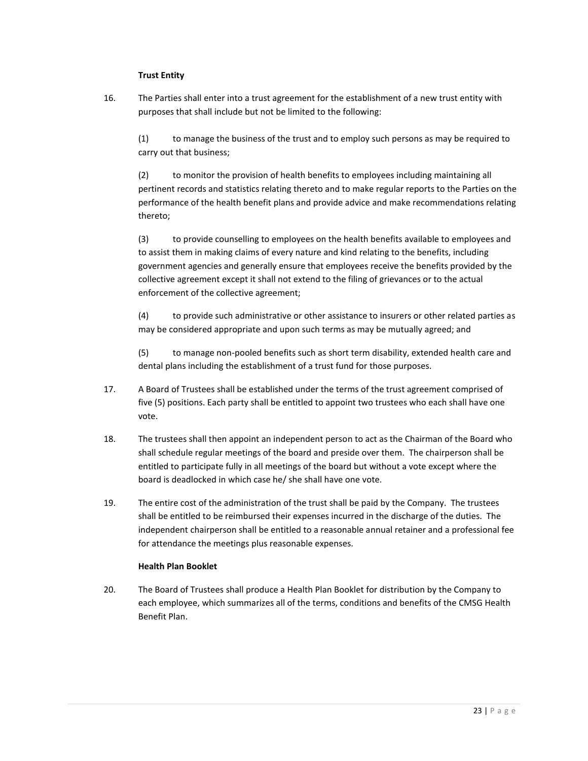## **Trust Entity**

16. The Parties shall enter into a trust agreement for the establishment of a new trust entity with purposes that shall include but not be limited to the following:

(1) to manage the business of the trust and to employ such persons as may be required to carry out that business;

(2) to monitor the provision of health benefits to employees including maintaining all pertinent records and statistics relating thereto and to make regular reports to the Parties on the performance of the health benefit plans and provide advice and make recommendations relating thereto;

(3) to provide counselling to employees on the health benefits available to employees and to assist them in making claims of every nature and kind relating to the benefits, including government agencies and generally ensure that employees receive the benefits provided by the collective agreement except it shall not extend to the filing of grievances or to the actual enforcement of the collective agreement;

(4) to provide such administrative or other assistance to insurers or other related parties as may be considered appropriate and upon such terms as may be mutually agreed; and

(5) to manage non-pooled benefits such as short term disability, extended health care and dental plans including the establishment of a trust fund for those purposes.

- 17. A Board of Trustees shall be established under the terms of the trust agreement comprised of five (5) positions. Each party shall be entitled to appoint two trustees who each shall have one vote.
- 18. The trustees shall then appoint an independent person to act as the Chairman of the Board who shall schedule regular meetings of the board and preside over them. The chairperson shall be entitled to participate fully in all meetings of the board but without a vote except where the board is deadlocked in which case he/ she shall have one vote.
- 19. The entire cost of the administration of the trust shall be paid by the Company. The trustees shall be entitled to be reimbursed their expenses incurred in the discharge of the duties. The independent chairperson shall be entitled to a reasonable annual retainer and a professional fee for attendance the meetings plus reasonable expenses.

## **Health Plan Booklet**

20. The Board of Trustees shall produce a Health Plan Booklet for distribution by the Company to each employee, which summarizes all of the terms, conditions and benefits of the CMSG Health Benefit Plan.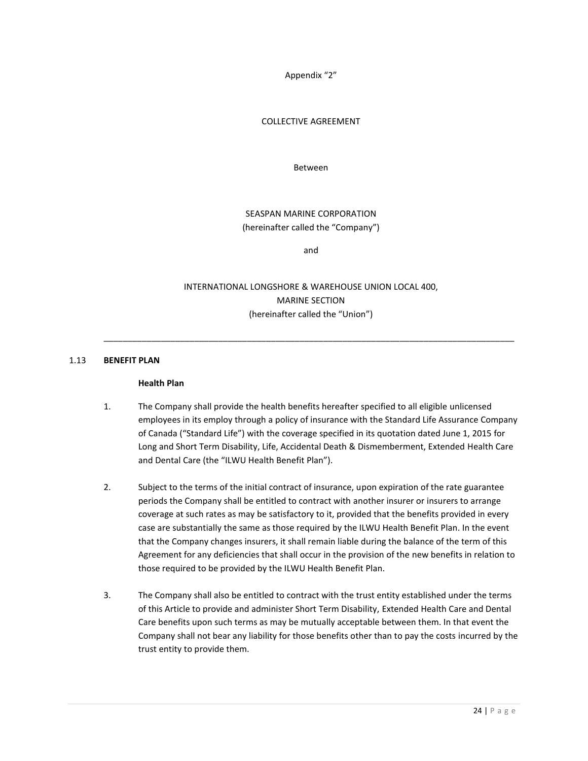Appendix "2"

#### COLLECTIVE AGREEMENT

Between

SEASPAN MARINE CORPORATION (hereinafter called the "Company")

and

INTERNATIONAL LONGSHORE & WAREHOUSE UNION LOCAL 400, MARINE SECTION (hereinafter called the "Union")

\_\_\_\_\_\_\_\_\_\_\_\_\_\_\_\_\_\_\_\_\_\_\_\_\_\_\_\_\_\_\_\_\_\_\_\_\_\_\_\_\_\_\_\_\_\_\_\_\_\_\_\_\_\_\_\_\_\_\_\_\_\_\_\_\_\_\_\_\_\_\_\_\_\_\_\_\_\_\_\_\_\_\_\_\_\_

#### 1.13 **BENEFIT PLAN**

#### **Health Plan**

- 1. The Company shall provide the health benefits hereafter specified to all eligible unlicensed employees in its employ through a policy of insurance with the Standard Life Assurance Company of Canada ("Standard Life") with the coverage specified in its quotation dated June 1, 2015 for Long and Short Term Disability, Life, Accidental Death & Dismemberment, Extended Health Care and Dental Care (the "ILWU Health Benefit Plan").
- 2. Subject to the terms of the initial contract of insurance, upon expiration of the rate guarantee periods the Company shall be entitled to contract with another insurer or insurers to arrange coverage at such rates as may be satisfactory to it, provided that the benefits provided in every case are substantially the same as those required by the ILWU Health Benefit Plan. In the event that the Company changes insurers, it shall remain liable during the balance of the term of this Agreement for any deficiencies that shall occur in the provision of the new benefits in relation to those required to be provided by the ILWU Health Benefit Plan.
- 3. The Company shall also be entitled to contract with the trust entity established under the terms of this Article to provide and administer Short Term Disability, Extended Health Care and Dental Care benefits upon such terms as may be mutually acceptable between them. In that event the Company shall not bear any liability for those benefits other than to pay the costs incurred by the trust entity to provide them.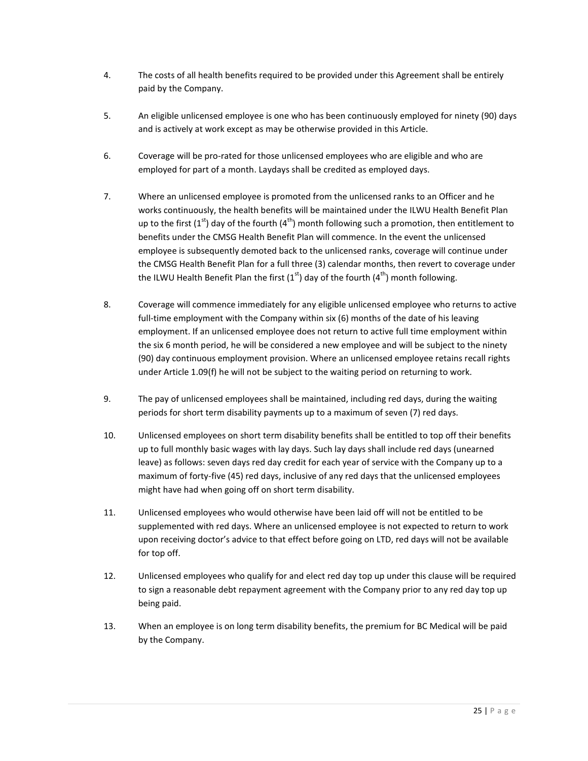- 4. The costs of all health benefits required to be provided under this Agreement shall be entirely paid by the Company.
- 5. An eligible unlicensed employee is one who has been continuously employed for ninety (90) days and is actively at work except as may be otherwise provided in this Article.
- 6. Coverage will be pro-rated for those unlicensed employees who are eligible and who are employed for part of a month. Laydays shall be credited as employed days.
- 7. Where an unlicensed employee is promoted from the unlicensed ranks to an Officer and he works continuously, the health benefits will be maintained under the ILWU Health Benefit Plan up to the first  $(1<sup>st</sup>)$  day of the fourth  $(4<sup>th</sup>)$  month following such a promotion, then entitlement to benefits under the CMSG Health Benefit Plan will commence. In the event the unlicensed employee is subsequently demoted back to the unlicensed ranks, coverage will continue under the CMSG Health Benefit Plan for a full three (3) calendar months, then revert to coverage under the ILWU Health Benefit Plan the first  $(1<sup>st</sup>)$  day of the fourth  $(4<sup>th</sup>)$  month following.
- 8. Coverage will commence immediately for any eligible unlicensed employee who returns to active full-time employment with the Company within six (6) months of the date of his leaving employment. If an unlicensed employee does not return to active full time employment within the six 6 month period, he will be considered a new employee and will be subject to the ninety (90) day continuous employment provision. Where an unlicensed employee retains recall rights under Article 1.09(f) he will not be subject to the waiting period on returning to work.
- 9. The pay of unlicensed employees shall be maintained, including red days, during the waiting periods for short term disability payments up to a maximum of seven (7) red days.
- 10. Unlicensed employees on short term disability benefits shall be entitled to top off their benefits up to full monthly basic wages with lay days. Such lay days shall include red days (unearned leave) as follows: seven days red day credit for each year of service with the Company up to a maximum of forty-five (45) red days, inclusive of any red days that the unlicensed employees might have had when going off on short term disability.
- 11. Unlicensed employees who would otherwise have been laid off will not be entitled to be supplemented with red days. Where an unlicensed employee is not expected to return to work upon receiving doctor's advice to that effect before going on LTD, red days will not be available for top off.
- 12. Unlicensed employees who qualify for and elect red day top up under this clause will be required to sign a reasonable debt repayment agreement with the Company prior to any red day top up being paid.
- 13. When an employee is on long term disability benefits, the premium for BC Medical will be paid by the Company.